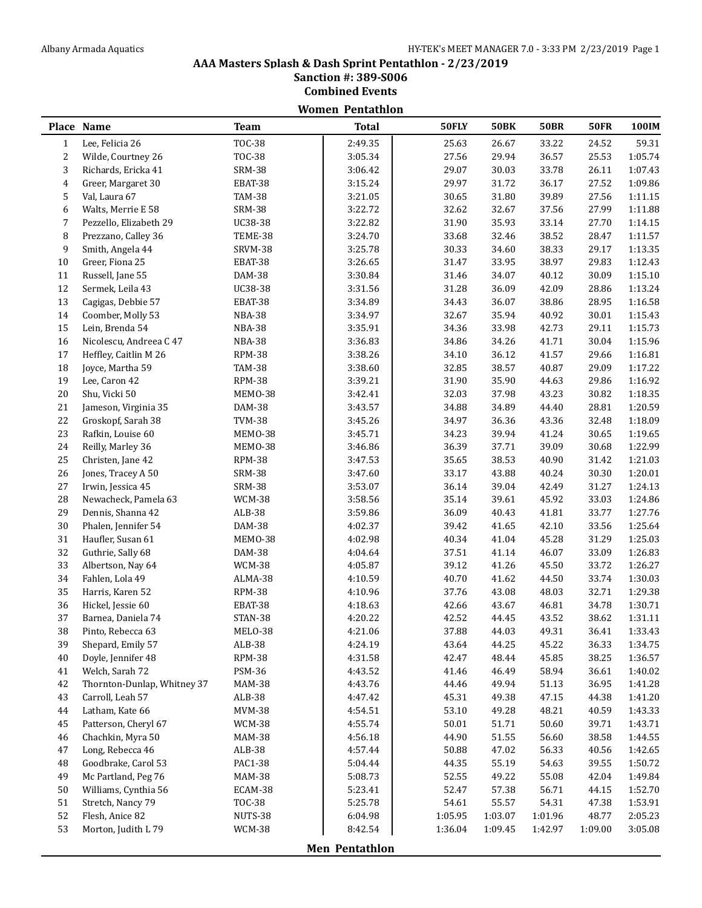# **AAA Masters Splash & Dash Sprint Pentathlon - 2/23/2019**

**Sanction #: 389-S006**

**Combined Events Women Pentathlon**

|                | Place Name                  | <b>Team</b>   | <b>Total</b>          | 50FLY   | <b>50BK</b> | <b>50BR</b> | <b>50FR</b> | 100IM   |
|----------------|-----------------------------|---------------|-----------------------|---------|-------------|-------------|-------------|---------|
| $\mathbf{1}$   | Lee, Felicia 26             | <b>TOC-38</b> | 2:49.35               | 25.63   | 26.67       | 33.22       | 24.52       | 59.31   |
| 2              | Wilde, Courtney 26          | <b>TOC-38</b> | 3:05.34               | 27.56   | 29.94       | 36.57       | 25.53       | 1:05.74 |
| 3              | Richards, Ericka 41         | <b>SRM-38</b> | 3:06.42               | 29.07   | 30.03       | 33.78       | 26.11       | 1:07.43 |
| $\overline{4}$ | Greer, Margaret 30          | EBAT-38       | 3:15.24               | 29.97   | 31.72       | 36.17       | 27.52       | 1:09.86 |
| 5              | Val, Laura 67               | <b>TAM-38</b> | 3:21.05               | 30.65   | 31.80       | 39.89       | 27.56       | 1:11.15 |
| 6              | Walts, Merrie E 58          | <b>SRM-38</b> | 3:22.72               | 32.62   | 32.67       | 37.56       | 27.99       | 1:11.88 |
| 7              | Pezzello, Elizabeth 29      | UC38-38       | 3:22.82               | 31.90   | 35.93       | 33.14       | 27.70       | 1:14.15 |
| 8              | Prezzano, Calley 36         | TEME-38       | 3:24.70               | 33.68   | 32.46       | 38.52       | 28.47       | 1:11.57 |
| 9              | Smith, Angela 44            | SRVM-38       | 3:25.78               | 30.33   | 34.60       | 38.33       | 29.17       | 1:13.35 |
| 10             | Greer, Fiona 25             | EBAT-38       | 3:26.65               | 31.47   | 33.95       | 38.97       | 29.83       | 1:12.43 |
| 11             | Russell, Jane 55            | DAM-38        | 3:30.84               | 31.46   | 34.07       | 40.12       | 30.09       | 1:15.10 |
| 12             | Sermek, Leila 43            | UC38-38       | 3:31.56               | 31.28   | 36.09       | 42.09       | 28.86       | 1:13.24 |
| 13             | Cagigas, Debbie 57          | EBAT-38       | 3:34.89               | 34.43   | 36.07       | 38.86       | 28.95       | 1:16.58 |
| 14             | Coomber, Molly 53           | NBA-38        | 3:34.97               | 32.67   | 35.94       | 40.92       | 30.01       | 1:15.43 |
| 15             | Lein, Brenda 54             | NBA-38        | 3:35.91               | 34.36   | 33.98       | 42.73       | 29.11       | 1:15.73 |
| 16             | Nicolescu, Andreea C 47     | NBA-38        | 3:36.83               | 34.86   | 34.26       | 41.71       | 30.04       | 1:15.96 |
| 17             | Heffley, Caitlin M 26       | <b>RPM-38</b> | 3:38.26               | 34.10   | 36.12       | 41.57       | 29.66       | 1:16.81 |
| 18             | Joyce, Martha 59            | <b>TAM-38</b> | 3:38.60               | 32.85   | 38.57       | 40.87       | 29.09       | 1:17.22 |
| 19             | Lee, Caron 42               | <b>RPM-38</b> | 3:39.21               | 31.90   | 35.90       | 44.63       | 29.86       | 1:16.92 |
| 20             | Shu, Vicki 50               | MEMO-38       | 3:42.41               | 32.03   | 37.98       | 43.23       | 30.82       | 1:18.35 |
| $21\,$         | Jameson, Virginia 35        | DAM-38        | 3:43.57               | 34.88   | 34.89       | 44.40       | 28.81       | 1:20.59 |
| 22             | Groskopf, Sarah 38          | <b>TVM-38</b> | 3:45.26               | 34.97   | 36.36       | 43.36       | 32.48       | 1:18.09 |
| 23             | Rafkin, Louise 60           | MEMO-38       | 3:45.71               | 34.23   | 39.94       | 41.24       | 30.65       | 1:19.65 |
| 24             | Reilly, Marley 36           | MEMO-38       | 3:46.86               | 36.39   | 37.71       | 39.09       | 30.68       | 1:22.99 |
| 25             | Christen, Jane 42           | <b>RPM-38</b> | 3:47.53               | 35.65   | 38.53       | 40.90       | 31.42       | 1:21.03 |
| 26             | Jones, Tracey A 50          | <b>SRM-38</b> | 3:47.60               | 33.17   | 43.88       | 40.24       | 30.30       | 1:20.01 |
| 27             | Irwin, Jessica 45           | <b>SRM-38</b> | 3:53.07               | 36.14   | 39.04       | 42.49       | 31.27       | 1:24.13 |
| 28             | Newacheck, Pamela 63        | <b>WCM-38</b> | 3:58.56               | 35.14   | 39.61       | 45.92       | 33.03       | 1:24.86 |
| 29             | Dennis, Shanna 42           | ALB-38        | 3:59.86               | 36.09   | 40.43       | 41.81       | 33.77       | 1:27.76 |
| 30             | Phalen, Jennifer 54         | DAM-38        | 4:02.37               | 39.42   | 41.65       | 42.10       | 33.56       | 1:25.64 |
| 31             | Haufler, Susan 61           | MEMO-38       | 4:02.98               | 40.34   | 41.04       | 45.28       | 31.29       | 1:25.03 |
| 32             | Guthrie, Sally 68           | DAM-38        | 4:04.64               | 37.51   | 41.14       | 46.07       | 33.09       | 1:26.83 |
| 33             | Albertson, Nay 64           | WCM-38        | 4:05.87               | 39.12   | 41.26       | 45.50       | 33.72       | 1:26.27 |
| 34             | Fahlen, Lola 49             | ALMA-38       | 4:10.59               | 40.70   | 41.62       | 44.50       | 33.74       | 1:30.03 |
| 35             | Harris, Karen 52            | <b>RPM-38</b> | 4:10.96               | 37.76   | 43.08       | 48.03       | 32.71       | 1:29.38 |
| 36             | Hickel, Jessie 60           | EBAT-38       | 4:18.63               | 42.66   | 43.67       | 46.81       | 34.78       | 1:30.71 |
| 37             | Barnea, Daniela 74          | STAN-38       | 4:20.22               | 42.52   | 44.45       | 43.52       | 38.62       | 1:31.11 |
| 38             | Pinto, Rebecca 63           | MELO-38       | 4:21.06               | 37.88   | 44.03       | 49.31       | 36.41       | 1:33.43 |
| 39             | Shepard, Emily 57           | $ALB-38$      | 4:24.19               | 43.64   | 44.25       | 45.22       | 36.33       | 1:34.75 |
| 40             | Doyle, Jennifer 48          | <b>RPM-38</b> | 4:31.58               | 42.47   | 48.44       | 45.85       | 38.25       | 1:36.57 |
| 41             | Welch, Sarah 72             | <b>PSM-36</b> | 4:43.52               | 41.46   | 46.49       | 58.94       | 36.61       | 1:40.02 |
| 42             | Thornton-Dunlap, Whitney 37 | <b>MAM-38</b> | 4:43.76               | 44.46   | 49.94       | 51.13       | 36.95       | 1:41.28 |
| 43             | Carroll, Leah 57            | $ALB-38$      | 4:47.42               | 45.31   | 49.38       | 47.15       | 44.38       | 1:41.20 |
| 44             | Latham, Kate 66             | <b>MVM-38</b> | 4:54.51               | 53.10   | 49.28       | 48.21       | 40.59       | 1:43.33 |
| 45             | Patterson, Cheryl 67        | WCM-38        | 4:55.74               | 50.01   | 51.71       | 50.60       | 39.71       | 1:43.71 |
| 46             | Chachkin, Myra 50           | <b>MAM-38</b> | 4:56.18               | 44.90   | 51.55       | 56.60       | 38.58       | 1:44.55 |
| 47             | Long, Rebecca 46            | $ALB-38$      | 4:57.44               | 50.88   | 47.02       | 56.33       | 40.56       | 1:42.65 |
| 48             | Goodbrake, Carol 53         | PAC1-38       | 5:04.44               | 44.35   | 55.19       | 54.63       | 39.55       | 1:50.72 |
| 49             | Mc Partland, Peg 76         | <b>MAM-38</b> | 5:08.73               | 52.55   | 49.22       | 55.08       | 42.04       | 1:49.84 |
| 50             | Williams, Cynthia 56        | ECAM-38       | 5:23.41               | 52.47   | 57.38       | 56.71       | 44.15       | 1:52.70 |
| 51             | Stretch, Nancy 79           | <b>TOC-38</b> | 5:25.78               | 54.61   | 55.57       | 54.31       | 47.38       | 1:53.91 |
| 52             | Flesh, Anice 82             | NUTS-38       | 6:04.98               | 1:05.95 | 1:03.07     | 1:01.96     | 48.77       | 2:05.23 |
| 53             | Morton, Judith L 79         | <b>WCM-38</b> | 8:42.54               | 1:36.04 | 1:09.45     | 1:42.97     | 1:09.00     | 3:05.08 |
|                |                             |               |                       |         |             |             |             |         |
|                |                             |               | <b>Men Pentathlon</b> |         |             |             |             |         |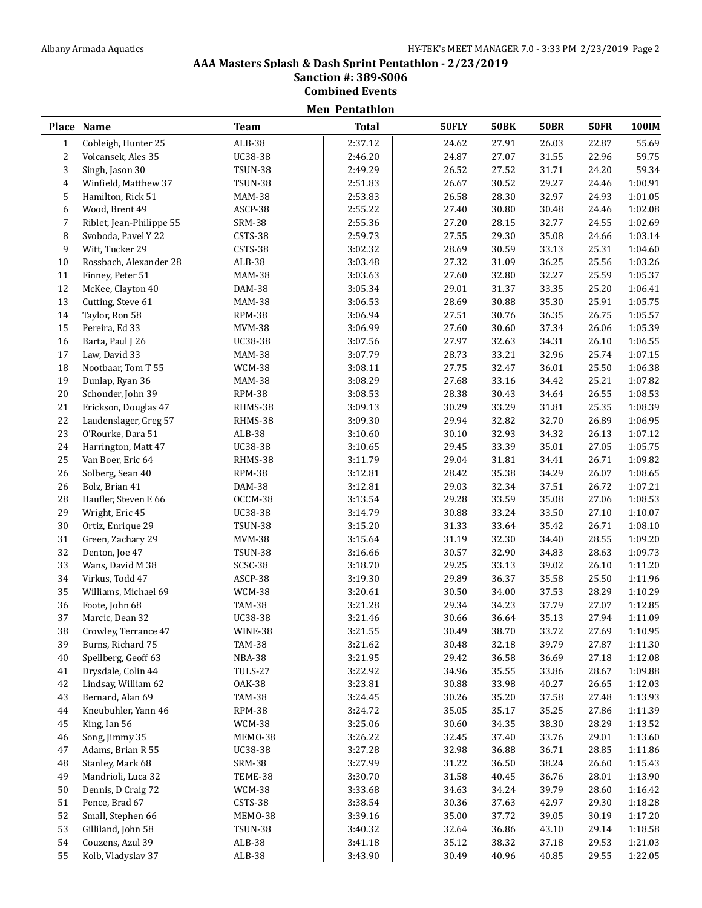#### **AAA Masters Splash & Dash Sprint Pentathlon - 2/23/2019 Sanction #: 389-S006**

**Combined Events**

|                |                          |                | <b>Men Pentathlon</b> |       |             |             |             |         |
|----------------|--------------------------|----------------|-----------------------|-------|-------------|-------------|-------------|---------|
|                | Place Name               | <b>Team</b>    | <b>Total</b>          | 50FLY | <b>50BK</b> | <b>50BR</b> | <b>50FR</b> | 100IM   |
| $\mathbf{1}$   | Cobleigh, Hunter 25      | $ALB-38$       | 2:37.12               | 24.62 | 27.91       | 26.03       | 22.87       | 55.69   |
| 2              | Volcansek, Ales 35       | UC38-38        | 2:46.20               | 24.87 | 27.07       | 31.55       | 22.96       | 59.75   |
| 3              | Singh, Jason 30          | <b>TSUN-38</b> | 2:49.29               | 26.52 | 27.52       | 31.71       | 24.20       | 59.34   |
| $\overline{4}$ | Winfield, Matthew 37     | <b>TSUN-38</b> | 2:51.83               | 26.67 | 30.52       | 29.27       | 24.46       | 1:00.91 |
| 5              | Hamilton, Rick 51        | <b>MAM-38</b>  | 2:53.83               | 26.58 | 28.30       | 32.97       | 24.93       | 1:01.05 |
| 6              | Wood, Brent 49           | ASCP-38        | 2:55.22               | 27.40 | 30.80       | 30.48       | 24.46       | 1:02.08 |
| 7              | Riblet, Jean-Philippe 55 | <b>SRM-38</b>  | 2:55.36               | 27.20 | 28.15       | 32.77       | 24.55       | 1:02.69 |
| 8              | Svoboda, Pavel Y 22      | CSTS-38        | 2:59.73               | 27.55 | 29.30       | 35.08       | 24.66       | 1:03.14 |
| 9              | Witt, Tucker 29          | CSTS-38        | 3:02.32               | 28.69 | 30.59       | 33.13       | 25.31       | 1:04.60 |
| 10             | Rossbach, Alexander 28   | ALB-38         | 3:03.48               | 27.32 | 31.09       | 36.25       | 25.56       | 1:03.26 |
| 11             | Finney, Peter 51         | <b>MAM-38</b>  | 3:03.63               | 27.60 | 32.80       | 32.27       | 25.59       | 1:05.37 |
| 12             | McKee, Clayton 40        | DAM-38         | 3:05.34               | 29.01 | 31.37       | 33.35       | 25.20       | 1:06.41 |
| 13             | Cutting, Steve 61        | <b>MAM-38</b>  | 3:06.53               | 28.69 | 30.88       | 35.30       | 25.91       | 1:05.75 |
| 14             | Taylor, Ron 58           | <b>RPM-38</b>  | 3:06.94               | 27.51 | 30.76       | 36.35       | 26.75       | 1:05.57 |
| 15             | Pereira, Ed 33           | <b>MVM-38</b>  | 3:06.99               | 27.60 | 30.60       | 37.34       | 26.06       | 1:05.39 |
| 16             | Barta, Paul J 26         | UC38-38        | 3:07.56               | 27.97 | 32.63       | 34.31       | 26.10       | 1:06.55 |
| 17             | Law, David 33            | <b>MAM-38</b>  | 3:07.79               | 28.73 | 33.21       | 32.96       | 25.74       | 1:07.15 |
| 18             | Nootbaar, Tom T 55       | WCM-38         | 3:08.11               | 27.75 | 32.47       | 36.01       | 25.50       | 1:06.38 |
| 19             | Dunlap, Ryan 36          | <b>MAM-38</b>  | 3:08.29               | 27.68 | 33.16       | 34.42       | 25.21       | 1:07.82 |
| $20\,$         | Schonder, John 39        | <b>RPM-38</b>  | 3:08.53               | 28.38 | 30.43       | 34.64       | 26.55       | 1:08.53 |
| 21             | Erickson, Douglas 47     | RHMS-38        | 3:09.13               | 30.29 | 33.29       | 31.81       | 25.35       | 1:08.39 |
| 22             | Laudenslager, Greg 57    | RHMS-38        | 3:09.30               | 29.94 | 32.82       | 32.70       | 26.89       | 1:06.95 |
| 23             | O'Rourke, Dara 51        | ALB-38         | 3:10.60               | 30.10 | 32.93       | 34.32       | 26.13       | 1:07.12 |
| 24             | Harrington, Matt 47      | UC38-38        | 3:10.65               | 29.45 | 33.39       | 35.01       | 27.05       | 1:05.75 |
| 25             | Van Boer, Eric 64        | RHMS-38        | 3:11.79               | 29.04 | 31.81       | 34.41       | 26.71       | 1:09.82 |
| 26             | Solberg, Sean 40         | <b>RPM-38</b>  | 3:12.81               | 28.42 | 35.38       | 34.29       | 26.07       | 1:08.65 |
| 26             | Bolz, Brian 41           | DAM-38         | 3:12.81               | 29.03 | 32.34       | 37.51       | 26.72       | 1:07.21 |
| 28             | Haufler, Steven E 66     | OCCM-38        | 3:13.54               | 29.28 | 33.59       | 35.08       | 27.06       | 1:08.53 |
| 29             | Wright, Eric 45          | UC38-38        | 3:14.79               | 30.88 | 33.24       | 33.50       | 27.10       | 1:10.07 |
| 30             | Ortiz, Enrique 29        | <b>TSUN-38</b> | 3:15.20               | 31.33 | 33.64       | 35.42       | 26.71       | 1:08.10 |
| 31             | Green, Zachary 29        | <b>MVM-38</b>  | 3:15.64               | 31.19 | 32.30       | 34.40       | 28.55       | 1:09.20 |
| 32             | Denton, Joe 47           | <b>TSUN-38</b> | 3:16.66               | 30.57 | 32.90       | 34.83       | 28.63       | 1:09.73 |
| 33             | Wans, David M 38         | SCSC-38        | 3:18.70               | 29.25 | 33.13       | 39.02       | 26.10       | 1:11.20 |
| 34             | Virkus, Todd 47          | ASCP-38        | 3:19.30               | 29.89 | 36.37       | 35.58       | 25.50       | 1:11.96 |
| 35             | Williams, Michael 69     | WCM-38         | 3:20.61               | 30.50 | 34.00       | 37.53       | 28.29       | 1:10.29 |
| 36             | Foote, John 68           | <b>TAM-38</b>  | 3:21.28               | 29.34 | 34.23       | 37.79       | 27.07       | 1:12.85 |
| 37             | Marcic, Dean 32          | UC38-38        | 3:21.46               | 30.66 | 36.64       | 35.13       | 27.94       | 1:11.09 |
| 38             | Crowley, Terrance 47     | WINE-38        | 3:21.55               | 30.49 | 38.70       | 33.72       | 27.69       | 1:10.95 |
| 39             | Burns, Richard 75        | <b>TAM-38</b>  | 3:21.62               | 30.48 | 32.18       | 39.79       | 27.87       | 1:11.30 |
| 40             | Spellberg, Geoff 63      | NBA-38         | 3:21.95               | 29.42 | 36.58       | 36.69       | 27.18       | 1:12.08 |
| 41             | Drysdale, Colin 44       | TULS-27        | 3:22.92               | 34.96 | 35.55       | 33.86       | 28.67       | 1:09.88 |
| 42             | Lindsay, William 62      | 0AK-38         | 3:23.81               | 30.88 | 33.98       | 40.27       | 26.65       | 1:12.03 |
| 43             | Bernard, Alan 69         | <b>TAM-38</b>  | 3:24.45               | 30.26 | 35.20       | 37.58       | 27.48       | 1:13.93 |
| 44             | Kneubuhler, Yann 46      | <b>RPM-38</b>  | 3:24.72               | 35.05 | 35.17       | 35.25       | 27.86       | 1:11.39 |
| 45             | King, Ian 56             | <b>WCM-38</b>  | 3:25.06               | 30.60 | 34.35       | 38.30       | 28.29       | 1:13.52 |
| 46             | Song, Jimmy 35           | MEMO-38        | 3:26.22               | 32.45 | 37.40       | 33.76       | 29.01       | 1:13.60 |
| 47             | Adams, Brian R 55        | UC38-38        | 3:27.28               | 32.98 | 36.88       | 36.71       | 28.85       | 1:11.86 |
| 48             | Stanley, Mark 68         | <b>SRM-38</b>  | 3:27.99               | 31.22 | 36.50       | 38.24       | 26.60       | 1:15.43 |
| 49             | Mandrioli, Luca 32       | TEME-38        | 3:30.70               | 31.58 | 40.45       | 36.76       | 28.01       | 1:13.90 |
| 50             | Dennis, D Craig 72       | WCM-38         | 3:33.68               | 34.63 | 34.24       | 39.79       | 28.60       | 1:16.42 |
| 51             | Pence, Brad 67           | CSTS-38        | 3:38.54               | 30.36 | 37.63       | 42.97       | 29.30       | 1:18.28 |
| 52             | Small, Stephen 66        | MEMO-38        | 3:39.16               | 35.00 | 37.72       | 39.05       | 30.19       | 1:17.20 |
| 53             | Gilliland, John 58       | <b>TSUN-38</b> | 3:40.32               | 32.64 | 36.86       | 43.10       | 29.14       | 1:18.58 |
| 54             | Couzens, Azul 39         | $ALB-38$       | 3:41.18               | 35.12 | 38.32       | 37.18       | 29.53       | 1:21.03 |
| 55             | Kolb, Vladyslav 37       | ALB-38         | 3:43.90               | 30.49 | 40.96       | 40.85       | 29.55       | 1:22.05 |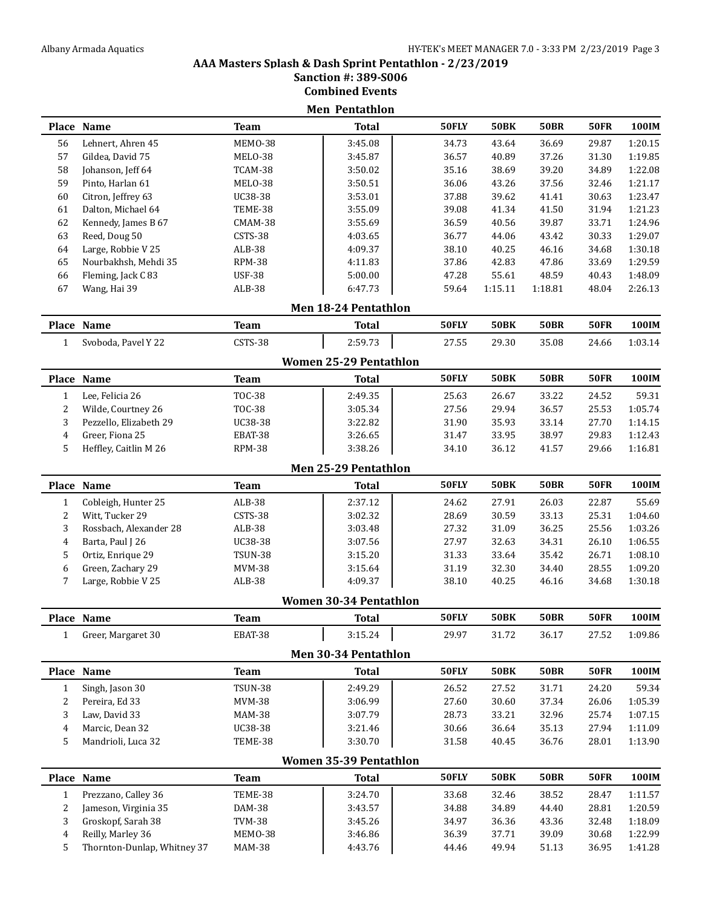#### **AAA Masters Splash & Dash Sprint Pentathlon - 2/23/2019 Sanction #: 389-S006**

**Combined Events**

|                |                                       |                    | <b>Men Pentathlon</b>         | 50FLY          | <b>50BK</b>    | <b>50BR</b>    | <b>50FR</b>    | 100IM              |
|----------------|---------------------------------------|--------------------|-------------------------------|----------------|----------------|----------------|----------------|--------------------|
|                | Place Name                            | <b>Team</b>        | <b>Total</b>                  |                |                |                |                |                    |
| 56             | Lehnert, Ahren 45                     | MEMO-38            | 3:45.08                       | 34.73          | 43.64          | 36.69          | 29.87          | 1:20.15            |
| 57<br>58       | Gildea, David 75<br>Johanson, Jeff 64 | MELO-38<br>TCAM-38 | 3:45.87<br>3:50.02            | 36.57<br>35.16 | 40.89<br>38.69 | 37.26<br>39.20 | 31.30<br>34.89 | 1:19.85<br>1:22.08 |
| 59             | Pinto, Harlan 61                      | MELO-38            | 3:50.51                       | 36.06          | 43.26          | 37.56          | 32.46          | 1:21.17            |
| 60             | Citron, Jeffrey 63                    | UC38-38            | 3:53.01                       | 37.88          | 39.62          | 41.41          | 30.63          | 1:23.47            |
| 61             | Dalton, Michael 64                    | TEME-38            | 3:55.09                       | 39.08          | 41.34          | 41.50          | 31.94          | 1:21.23            |
| 62             | Kennedy, James B 67                   | CMAM-38            | 3:55.69                       | 36.59          | 40.56          | 39.87          | 33.71          | 1:24.96            |
| 63             | Reed, Doug 50                         | CSTS-38            | 4:03.65                       | 36.77          | 44.06          | 43.42          | 30.33          | 1:29.07            |
| 64             | Large, Robbie V 25                    | $ALB-38$           | 4:09.37                       | 38.10          | 40.25          | 46.16          | 34.68          | 1:30.18            |
| 65             | Nourbakhsh, Mehdi 35                  | RPM-38             | 4:11.83                       | 37.86          | 42.83          | 47.86          | 33.69          | 1:29.59            |
| 66             | Fleming, Jack C 83                    | <b>USF-38</b>      | 5:00.00                       | 47.28          | 55.61          | 48.59          | 40.43          | 1:48.09            |
| 67             | Wang, Hai 39                          | ALB-38             | 6:47.73                       | 59.64          | 1:15.11        | 1:18.81        | 48.04          | 2:26.13            |
|                |                                       |                    | Men 18-24 Pentathlon          |                |                |                |                |                    |
|                | Place Name                            | <b>Team</b>        | <b>Total</b>                  | 50FLY          | <b>50BK</b>    | <b>50BR</b>    | <b>50FR</b>    | 100IM              |
| $\mathbf{1}$   | Svoboda, Pavel Y 22                   | CSTS-38            | 2:59.73                       | 27.55          | 29.30          | 35.08          | 24.66          | 1:03.14            |
|                |                                       |                    | <b>Women 25-29 Pentathlon</b> |                |                |                |                |                    |
|                | Place Name                            | <b>Team</b>        | <b>Total</b>                  | 50FLY          | <b>50BK</b>    | <b>50BR</b>    | <b>50FR</b>    | 100IM              |
| $\mathbf{1}$   | Lee, Felicia 26                       | <b>TOC-38</b>      | 2:49.35                       | 25.63          | 26.67          | 33.22          | 24.52          | 59.31              |
| 2              | Wilde, Courtney 26                    | <b>TOC-38</b>      | 3:05.34                       | 27.56          | 29.94          | 36.57          | 25.53          | 1:05.74            |
| 3              | Pezzello, Elizabeth 29                | <b>UC38-38</b>     | 3:22.82                       | 31.90          | 35.93          | 33.14          | 27.70          | 1:14.15            |
| 4              | Greer, Fiona 25                       | EBAT-38            | 3:26.65                       | 31.47          | 33.95          | 38.97          | 29.83          | 1:12.43            |
| 5              | Heffley, Caitlin M 26                 | RPM-38             | 3:38.26                       | 34.10          | 36.12          | 41.57          | 29.66          | 1:16.81            |
|                |                                       |                    | Men 25-29 Pentathlon          |                |                |                |                |                    |
|                | Place Name                            | <b>Team</b>        | <b>Total</b>                  | 50FLY          | <b>50BK</b>    | <b>50BR</b>    | <b>50FR</b>    | 100IM              |
| $\mathbf{1}$   | Cobleigh, Hunter 25                   | $ALB-38$           | 2:37.12                       | 24.62          | 27.91          | 26.03          | 22.87          | 55.69              |
| 2              | Witt, Tucker 29                       | CSTS-38            | 3:02.32                       | 28.69          | 30.59          | 33.13          | 25.31          | 1:04.60            |
| 3              | Rossbach, Alexander 28                | $ALB-38$           | 3:03.48                       | 27.32          | 31.09          | 36.25          | 25.56          | 1:03.26            |
| $\overline{4}$ | Barta, Paul J 26                      | UC38-38            | 3:07.56                       | 27.97          | 32.63          | 34.31          | 26.10          | 1:06.55            |
| 5              | Ortiz, Enrique 29                     | TSUN-38            | 3:15.20                       | 31.33          | 33.64          | 35.42          | 26.71          | 1:08.10            |
| 6              | Green, Zachary 29                     | <b>MVM-38</b>      | 3:15.64                       | 31.19          | 32.30          | 34.40          | 28.55          | 1:09.20            |
| 7              | Large, Robbie V 25                    | ALB-38             | 4:09.37                       | 38.10          | 40.25          | 46.16          | 34.68          | 1:30.18            |
|                |                                       |                    | <b>Women 30-34 Pentathlon</b> |                |                |                |                |                    |
|                | Place Name                            | <b>Team</b>        | <b>Total</b>                  | 50FLY          | <b>50BK</b>    | <b>50BR</b>    | <b>50FR</b>    | 100IM              |
| $\mathbf{1}$   | Greer, Margaret 30                    | EBAT-38            | 3:15.24                       | 29.97          | 31.72          | 36.17          | 27.52          | 1:09.86            |
|                |                                       |                    | Men 30-34 Pentathlon          |                |                |                |                |                    |
|                | Place Name                            | <b>Team</b>        | <b>Total</b>                  | 50FLY          | <b>50BK</b>    | <b>50BR</b>    | <b>50FR</b>    | 100IM              |
| $\mathbf{1}$   | Singh, Jason 30                       | <b>TSUN-38</b>     | 2:49.29                       | 26.52          | 27.52          | 31.71          | 24.20          | 59.34              |
| 2              | Pereira, Ed 33                        | <b>MVM-38</b>      | 3:06.99                       | 27.60          | 30.60          | 37.34          | 26.06          | 1:05.39            |
| 3              | Law, David 33                         | <b>MAM-38</b>      | 3:07.79                       | 28.73          | 33.21          | 32.96          | 25.74          | 1:07.15            |
| 4              | Marcic, Dean 32                       | UC38-38            | 3:21.46                       | 30.66          | 36.64          | 35.13          | 27.94          | 1:11.09            |
| 5              | Mandrioli, Luca 32                    | TEME-38            | 3:30.70                       | 31.58          | 40.45          | 36.76          | 28.01          | 1:13.90            |
|                |                                       |                    | <b>Women 35-39 Pentathlon</b> |                |                |                |                |                    |
|                | Place Name                            | <b>Team</b>        | <b>Total</b>                  | 50FLY          | <b>50BK</b>    | <b>50BR</b>    | <b>50FR</b>    | 100IM              |
| $\mathbf{1}$   | Prezzano, Calley 36                   | TEME-38            | 3:24.70                       | 33.68          | 32.46          | 38.52          | 28.47          | 1:11.57            |
| 2              | Jameson, Virginia 35                  | DAM-38             | 3:43.57                       | 34.88          | 34.89          | 44.40          | 28.81          | 1:20.59            |
| 3              | Groskopf, Sarah 38                    | <b>TVM-38</b>      | 3:45.26                       | 34.97          | 36.36          | 43.36          | 32.48          | 1:18.09            |
| 4              | Reilly, Marley 36                     | MEMO-38            | 3:46.86                       | 36.39          | 37.71          | 39.09          | 30.68          | 1:22.99            |
| 5              | Thornton-Dunlap, Whitney 37           | <b>MAM-38</b>      | 4:43.76                       | 44.46          | 49.94          | 51.13          | 36.95          | 1:41.28            |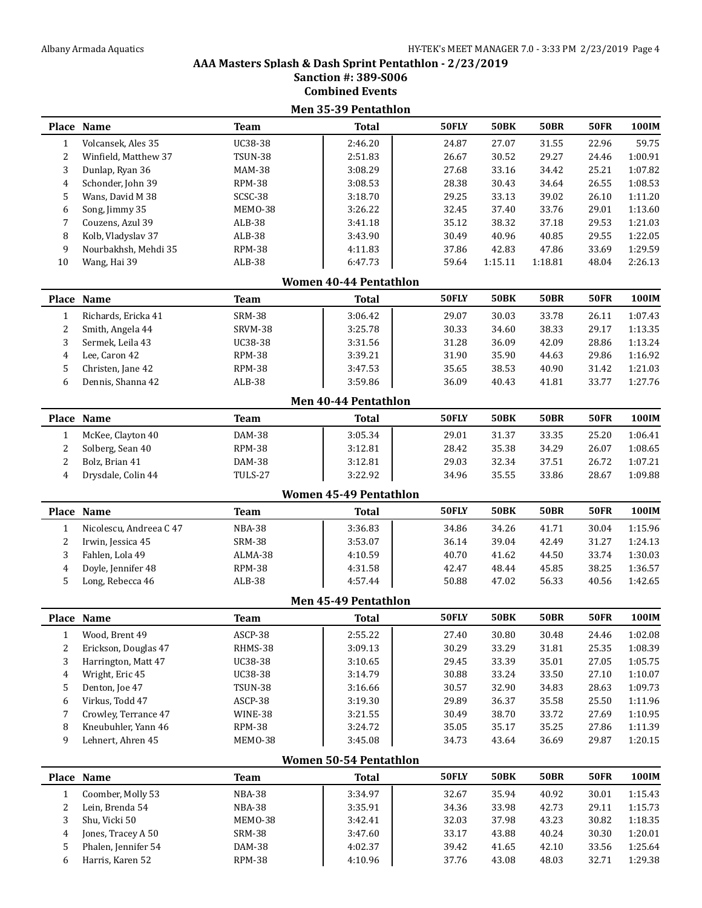### **Combined Events Men 35-39 Pentathlon Place Name Team Total 50FLY 50BK 50BR 50FR 100IM** Volcansek, Ales 35 UC38-38 2:46.20 24.87 27.07 31.55 22.96 59.75 Winfield, Matthew 37 TSUN-38 2:51.83 26.67 30.52 29.27 24.46 1:00.91 Dunlap, Ryan 36 MAM-38 3:08.29 27.68 33.16 34.42 25.21 1:07.82 Schonder, John 39 RPM-38 3:08.53 28.38 30.43 34.64 26.55 1:08.53 Wans, David M 38 SCSC-38 3:18.70 29.25 33.13 39.02 26.10 1:11.20 Song, Jimmy 35 MEMO-38 3:26.22 32.45 37.40 33.76 29.01 1:13.60 Couzens, Azul 39 ALB-38 3:41.18 35.12 38.32 37.18 29.53 1:21.03 Kolb, Vladyslav 37 ALB-38 3:43.90 30.49 40.96 40.85 29.55 1:22.05 Nourbakhsh, Mehdi 35 RPM-38 4:11.83 37.86 42.83 47.86 33.69 1:29.59 Wang, Hai 39 ALB-38 6:47.73 59.64 1:15.11 1:18.81 48.04 2:26.13 **Women 40-44 Pentathlon Place Name Team Total 50FLY 50BK 50BR 50FR 100IM** Richards, Ericka 41 SRM-38 3:06.42 29.07 30.03 33.78 26.11 1:07.43 2 Smith, Angela 44 SRVM-38 3:25.78 30.33 34.60 38.33 29.17 1:13.35 Sermek, Leila 43 UC38-38 3:31.56 31.28 36.09 42.09 28.86 1:13.24 Lee, Caron 42 RPM-38 3:39.21 31.90 35.90 44.63 29.86 1:16.92 Christen, Jane 42 RPM-38 3:47.53 35.65 38.53 40.90 31.42 1:21.03 Dennis, Shanna 42 ALB-38 3:59.86 36.09 40.43 41.81 33.77 1:27.76 **Men 40-44 Pentathlon Place Name Team Total 50FLY 50BK 50BR 50FR 100IM** McKee, Clayton 40 DAM-38 3:05.34 29.01 31.37 33.35 25.20 1:06.41 Solberg, Sean 40 RPM-38 3:12.81 28.42 35.38 34.29 26.07 1:08.65 Bolz, Brian 41 DAM-38 3:12.81 29.03 32.34 37.51 26.72 1:07.21 Drysdale, Colin 44 TULS-27 3:22.92 34.96 35.55 33.86 28.67 1:09.88 **Women 45-49 Pentathlon Place Name Team Total 50FLY 50BK 50BR 50FR 100IM** 1 Nicolescu, Andreea C 47 NBA-38 1 3:36.83 34.86 34.26 41.71 30.04 1:15.96 Irwin, Jessica 45 SRM-38 3:53.07 36.14 39.04 42.49 31.27 1:24.13 Fahlen, Lola 49 ALMA-38 4:10.59 40.70 41.62 44.50 33.74 1:30.03 4 Doyle, Jennifer 48 RPM-38 1:36.57 4:31.58 42.47 48.44 45.85 38.25 1:36.57 Long, Rebecca 46 ALB-38 4:57.44 50.88 47.02 56.33 40.56 1:42.65 **Men 45-49 Pentathlon Place Name Team Total 50FLY 50BK 50BR 50FR 100IM** Wood, Brent 49 ASCP-38 2:55.22 27.40 30.80 30.48 24.46 1:02.08 2 Erickson, Douglas 47 RHMS-38 | 3:09.13 | 30.29 33.29 31.81 25.35 1:08.39 Harrington, Matt 47 UC38-38 3:10.65 29.45 33.39 35.01 27.05 1:05.75 Wright, Eric 45 UC38-38 3:14.79 30.88 33.24 33.50 27.10 1:10.07 Denton, Joe 47 TSUN-38 3:16.66 30.57 32.90 34.83 28.63 1:09.73 Virkus, Todd 47 ASCP-38 3:19.30 29.89 36.37 35.58 25.50 1:11.96 Crowley, Terrance 47 WINE-38 3:21.55 30.49 38.70 33.72 27.69 1:10.95 Kneubuhler, Yann 46 RPM-38 3:24.72 35.05 35.17 35.25 27.86 1:11.39 Lehnert, Ahren 45 MEMO-38 3:45.08 34.73 43.64 36.69 29.87 1:20.15 **Women 50-54 Pentathlon Place Name Team Total 50FLY 50BK 50BR 50FR 100IM** Coomber, Molly 53 NBA-38 3:34.97 32.67 35.94 40.92 30.01 1:15.43 Lein, Brenda 54 NBA-38 3:35.91 34.36 33.98 42.73 29.11 1:15.73 Shu, Vicki 50 MEMO-38 3:42.41 32.03 37.98 43.23 30.82 1:18.35 Jones, Tracey A 50 SRM-38 3:47.60 33.17 43.88 40.24 30.30 1:20.01 Phalen, Jennifer 54 DAM-38 4:02.37 39.42 41.65 42.10 33.56 1:25.64 Harris, Karen 52 RPM-38 4:10.96 37.76 43.08 48.03 32.71 1:29.38

## **AAA Masters Splash & Dash Sprint Pentathlon - 2/23/2019 Sanction #: 389-S006**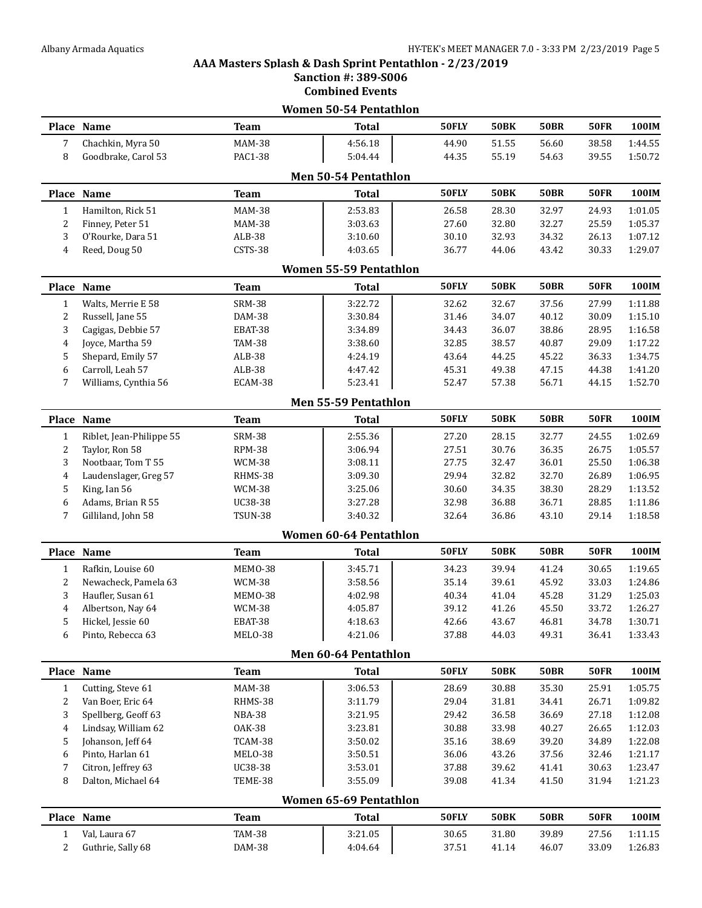### **Sanction #: 389-S006 Combined Events Women 50-54 Pentathlon Place Name Team Total 50FLY 50BK 50BR 50FR 100IM** Chachkin, Myra 50 MAM-38 4:56.18 44.90 51.55 56.60 38.58 1:44.55 Goodbrake, Carol 53 PAC1-38 5:04.44 44.35 55.19 54.63 39.55 1:50.72 **Men 50-54 Pentathlon Place Name Team Total 50FLY 50BK 50BR 50FR 100IM** Hamilton, Rick 51 MAM-38 2:53.83 26.58 28.30 32.97 24.93 1:01.05 Finney, Peter 51 MAM-38 3:03.63 27.60 32.80 32.27 25.59 1:05.37 O'Rourke, Dara 51 ALB-38 3:10.60 30.10 32.93 34.32 26.13 1:07.12 Reed, Doug 50 CSTS-38 4:03.65 36.77 44.06 43.42 30.33 1:29.07 **Women 55-59 Pentathlon Place Name Team Total 50FLY 50BK 50BR 50FR 100IM** Walts, Merrie E 58 SRM-38 3:22.72 32.62 32.67 37.56 27.99 1:11.88 Russell, Jane 55 DAM-38 3:30.84 31.46 34.07 40.12 30.09 1:15.10 Cagigas, Debbie 57 EBAT-38 3:34.89 34.43 36.07 38.86 28.95 1:16.58 Joyce, Martha 59 TAM-38 3:38.60 32.85 38.57 40.87 29.09 1:17.22 Shepard, Emily 57 ALB-38 4:24.19 43.64 44.25 45.22 36.33 1:34.75 Carroll, Leah 57 ALB-38 4:47.42 45.31 49.38 47.15 44.38 1:41.20 7 Williams, Cynthia 56 ECAM-38 1:52.3.41 52.47 57.38 56.71 44.15 1:52.70 **Men 55-59 Pentathlon Place Name Team Total 50FLY 50BK 50BR 50FR 100IM** Riblet, Jean-Philippe 55 SRM-38 2:55.36 27.20 28.15 32.77 24.55 1:02.69 Taylor, Ron 58 RPM-38 3:06.94 27.51 30.76 36.35 26.75 1:05.57 Nootbaar, Tom T 55 WCM-38 3:08.11 27.75 32.47 36.01 25.50 1:06.38 Laudenslager, Greg 57 RHMS-38 3:09.30 29.94 32.82 32.70 26.89 1:06.95 King, Ian 56 WCM-38 3:25.06 30.60 34.35 38.30 28.29 1:13.52 Adams, Brian R 55 UC38-38 3:27.28 32.98 36.88 36.71 28.85 1:11.86 Gilliland, John 58 TSUN-38 3:40.32 32.64 36.86 43.10 29.14 1:18.58 **Women 60-64 Pentathlon Place Name Team Total 50FLY 50BK 50BR 50FR 100IM** Rafkin, Louise 60 MEMO-38 3:45.71 34.23 39.94 41.24 30.65 1:19.65 Newacheck, Pamela 63 WCM-38 3:58.56 35.14 39.61 45.92 33.03 1:24.86 Haufler, Susan 61 MEMO-38 4:02.98 40.34 41.04 45.28 31.29 1:25.03 Albertson, Nay 64 WCM-38 4:05.87 39.12 41.26 45.50 33.72 1:26.27 Hickel, Jessie 60 EBAT-38 4:18.63 42.66 43.67 46.81 34.78 1:30.71 Pinto, Rebecca 63 MELO-38 4:21.06 37.88 44.03 49.31 36.41 1:33.43 **Men 60-64 Pentathlon Place Name Team Total 50FLY 50BK 50BR 50FR 100IM** Cutting, Steve 61 MAM-38 3:06.53 28.69 30.88 35.30 25.91 1:05.75 Van Boer, Eric 64 RHMS-38 3:11.79 29.04 31.81 34.41 26.71 1:09.82 Spellberg, Geoff 63 NBA-38 3:21.95 29.42 36.58 36.69 27.18 1:12.08 Lindsay, William 62 OAK-38 3:23.81 30.88 33.98 40.27 26.65 1:12.03 Johanson, Jeff 64 TCAM-38 3:50.02 35.16 38.69 39.20 34.89 1:22.08 Pinto, Harlan 61 MELO-38 3:50.51 36.06 43.26 37.56 32.46 1:21.17 Citron, Jeffrey 63 UC38-38 3:53.01 37.88 39.62 41.41 30.63 1:23.47 Dalton, Michael 64 TEME-38 3:55.09 39.08 41.34 41.50 31.94 1:21.23 **Women 65-69 Pentathlon Place Name Team Total 50FLY 50BK 50BR 50FR 100IM** Val, Laura 67 TAM-38 3:21.05 30.65 31.80 39.89 27.56 1:11.15 Guthrie, Sally 68 DAM-38 4:04.64 37.51 41.14 46.07 33.09 1:26.83

**AAA Masters Splash & Dash Sprint Pentathlon - 2/23/2019**